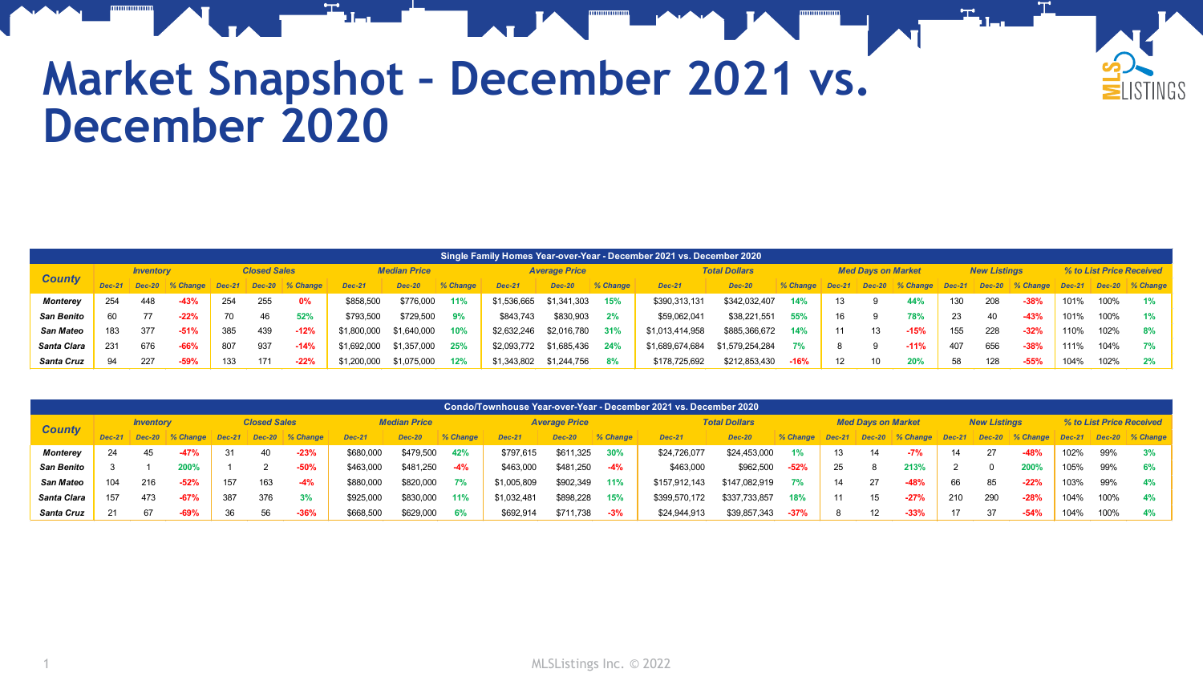

## **Market Snapshot – December 2021 vs. December 2020**

| Single Family Homes Year-over-Year - December 2021 vs. December 2020 |     |                  |          |                     |          |             |                     |               |          |               |                      |          |                      |                 |          |                           |          |             |          |                     |                 |                          |      |                 |
|----------------------------------------------------------------------|-----|------------------|----------|---------------------|----------|-------------|---------------------|---------------|----------|---------------|----------------------|----------|----------------------|-----------------|----------|---------------------------|----------|-------------|----------|---------------------|-----------------|--------------------------|------|-----------------|
|                                                                      |     | <b>Inventory</b> |          | <b>Closed Sales</b> |          |             | <b>Median Price</b> |               |          |               | <b>Average Price</b> |          | <b>Total Dollars</b> |                 |          | <b>Med Davs on Market</b> |          |             |          | <b>New Listings</b> |                 | % to List Price Received |      |                 |
| <b>County</b>                                                        |     | <b>Dec-20</b>    | % Change | $Dec-21$            | $Dec-20$ | $\%$ Change | <b>Dec-21</b>       | <b>Dec-20</b> | % Change | <b>Dec-21</b> | <b>Dec-20</b>        | % Change | <b>Dec-21</b>        | <b>Dec-20</b>   | % Change | $Dec-21$                  | $Dec-20$ | $\%$ Change | $Dec-21$ |                     | Dec-20 % Change | $Dec-21$                 |      | Dec-20 % Change |
| <b>Monterey</b>                                                      | 254 | 448              | $-43%$   | 254                 | 255      | 0%          | \$858,500           | \$776,000     | 11%      | \$1,536,665   | \$1,341,303          | 15%      | \$390,313,131        | \$342,032,407   | 14%      | 13                        |          | 44%         |          | 208                 | $-38%$          | 101%                     | 100% | 1%              |
| <b>San Benito</b>                                                    | 60  | 77               | $-22%$   | 70                  | 46       | 52%         | \$793,500           | \$729,500     | 9%       | \$843,743     | \$830,903            | 2%       | \$59,062,041         | \$38,221,551    | 55%      | 16                        |          | 78%         | 23       | 40                  | $-43%$          | 101%                     | 100% | 1%              |
| <b>San Mateo</b>                                                     | 183 | 377              | $-51%$   | 385                 | 439      | $-12%$      | \$1,800,000         | \$1,640,000   | 10%      | \$2,632,246   | \$2,016,780          | 31%      | \$1,013,414,958      | \$885,366,672   | 14%      |                           |          | $-15%$      | 155      | 228                 | $-32%$          | 110%                     | 102% | 8%              |
| Santa Clara                                                          | 231 | 676              | $-66%$   | 807                 | 937      | $-14%$      | \$1,692,000         | \$1,357,000   | 25%      | \$2,093,772   | \$1,685,436          | 24%      | \$1,689,674,684      | \$1,579,254,284 |          |                           |          | $-11%$      | 407      | 656                 | $-38%$          | 111%                     | 104% | 7%              |
| Santa Cruz                                                           | 94  | 227              | $-59%$   | 133                 | 171      | $-22%$      | \$1,200,000         | \$1,075,000   | 12%      | \$1,343,802   | \$1.244.756          | 8%       | \$178,725,692        | \$212,853,430   | $-16%$   | $12 \overline{ }$         |          | 20%         | 58       | 128                 | $-55%$          | 104%                     | 102% | 2%              |

| Condo/Townhouse Year-over-Year - December 2021 vs. December 2020 |          |                  |          |                     |               |             |                     |               |          |               |                      |          |               |                      |          |          |          |                           |          |                     |          |                          |      |                 |
|------------------------------------------------------------------|----------|------------------|----------|---------------------|---------------|-------------|---------------------|---------------|----------|---------------|----------------------|----------|---------------|----------------------|----------|----------|----------|---------------------------|----------|---------------------|----------|--------------------------|------|-----------------|
| <b>County</b>                                                    |          | <b>Inventory</b> |          | <b>Closed Sales</b> |               |             | <b>Median Price</b> |               |          |               | <b>Average Price</b> |          |               | <b>Total Dollars</b> |          |          |          | <b>Med Davs on Market</b> |          | <b>New Listings</b> |          | % to List Price Received |      |                 |
|                                                                  | $Dec-21$ | <b>Dec-20</b>    | % Change | $Dec-21$            | <b>Dec-20</b> | $\%$ Change | <b>Dec-21</b>       | <b>Dec-20</b> | % Change | <b>Dec-21</b> | <b>Dec-20</b>        | % Change | <b>Dec-21</b> | <b>Dec-20</b>        | % Change | $Dec-21$ | $Dec-20$ | $%$ Change                | $Dec-21$ | $Dec-20$            | % Change | $Dec-21$                 |      | Dec-20 % Change |
| <b>Monterey</b>                                                  | 24       | 45               | $-47%$   |                     | 40            | $-23%$      | \$680,000           | \$479.500     | 42%      | \$797.615     | \$611,325            | 30%      | \$24,726,077  | \$24.453.000         | 1%       | 13       | 14       | $-7%$                     | 14       | 27                  | $-48%$   | 102%                     | 99%  | 3%              |
| <b>San Benito</b>                                                |          |                  | 200%     |                     |               | $-50%$      | \$463,000           | \$481.250     | $-4%$    | \$463,000     | \$481,250            | $-4%$    | \$463,000     | \$962,500            | $-52%$   | 25       |          | 213%                      |          |                     | 200%     | 105%                     | 99%  | 6%              |
| <b>San Mateo</b>                                                 | 104      | 216              | $-52%$   | 157                 | 163           | $-4%$       | \$880,000           | \$820,000     | 7%       | \$1,005,809   | \$902,349            | 11%      | \$157,912,143 | \$147.082.919        | 7%       | 14       | 27       | $-48%$                    | 66       | 85                  | $-22%$   | 103%                     | 99%  | 4%              |
| Santa Clara                                                      | 157      | 473              | $-67%$   | 387                 | 376           | 3%          | \$925.000           | \$830,000     | 11%      | \$1.032.481   | \$898,228            | 15%      | \$399,570,172 | \$337,733,857        | 18%      | 11       | 15       | $-27%$                    | 210      | 290                 | $-28%$   | 104%                     | 100% | 4%              |
| <b>Santa Cruz</b>                                                | 21       | 6                | $-69%$   |                     | 56            | $-36%$      | \$668,500           | \$629,000     | 6%       | \$692,914     | \$711.738            | $-3%$    | \$24,944,913  | \$39,857,343         | $-37%$   |          | 12       | $-33%$                    |          | 37                  | $-54%$   | 104%                     | 100% | 4%              |